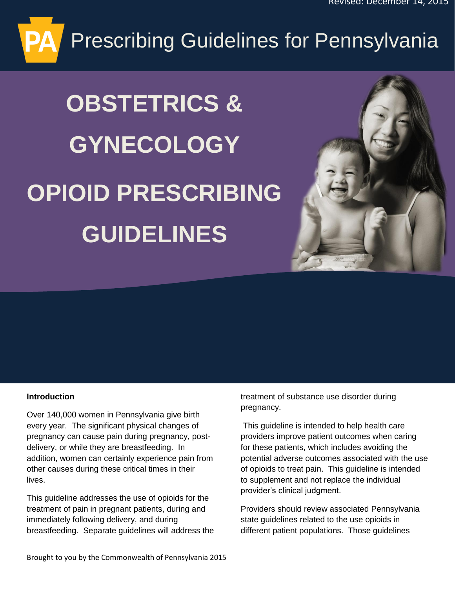# Prescribing Guidelines for Pennsylvania

# **OBSTETRICS & GYNECOLOGY OPIOID PRESCRIBING GUIDELINES**



#### **Introduction**

Over 140,000 women in Pennsylvania give birth every year. The significant physical changes of pregnancy can cause pain during pregnancy, postdelivery, or while they are breastfeeding. In addition, women can certainly experience pain from other causes during these critical times in their lives.

This guideline addresses the use of opioids for the treatment of pain in pregnant patients, during and immediately following delivery, and during breastfeeding. Separate guidelines will address the treatment of substance use disorder during pregnancy.

This guideline is intended to help health care providers improve patient outcomes when caring for these patients, which includes avoiding the potential adverse outcomes associated with the use of opioids to treat pain. This guideline is intended to supplement and not replace the individual provider's clinical judgment.

Providers should review associated Pennsylvania state guidelines related to the use opioids in different patient populations. Those guidelines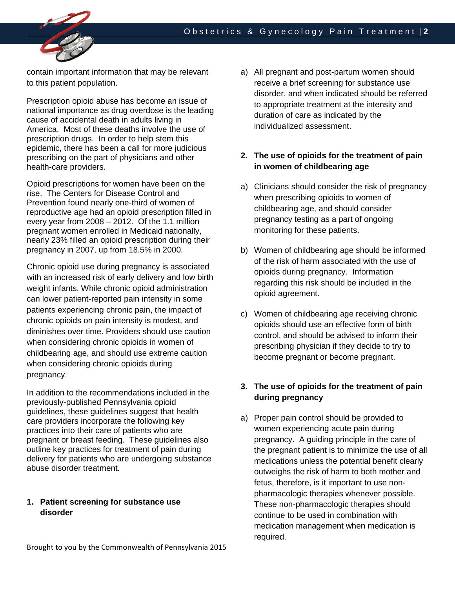

contain important information that may be relevant to this patient population.

Prescription opioid abuse has become an issue of national importance as drug overdose is the leading cause of accidental death in adults living in America. Most of these deaths involve the use of prescription drugs. In order to help stem this epidemic, there has been a call for more judicious prescribing on the part of physicians and other health-care providers.

Opioid prescriptions for women have been on the rise. The Centers for Disease Control and Prevention found nearly one-third of women of reproductive age had an opioid prescription filled in every year from 2008 – 2012. Of the 1.1 million pregnant women enrolled in Medicaid nationally, nearly 23% filled an opioid prescription during their pregnancy in 2007, up from 18.5% in 2000.

Chronic opioid use during pregnancy is associated with an increased risk of early delivery and low birth weight infants. While chronic opioid administration can lower patient-reported pain intensity in some patients experiencing chronic pain, the impact of chronic opioids on pain intensity is modest, and diminishes over time. Providers should use caution when considering chronic opioids in women of childbearing age, and should use extreme caution when considering chronic opioids during pregnancy.

In addition to the recommendations included in the previously-published Pennsylvania opioid guidelines, these guidelines suggest that health care providers incorporate the following key practices into their care of patients who are pregnant or breast feeding. These guidelines also outline key practices for treatment of pain during delivery for patients who are undergoing substance abuse disorder treatment.

## **1. Patient screening for substance use disorder**

a) All pregnant and post-partum women should receive a brief screening for substance use disorder, and when indicated should be referred to appropriate treatment at the intensity and duration of care as indicated by the individualized assessment.

# **2. The use of opioids for the treatment of pain in women of childbearing age**

- a) Clinicians should consider the risk of pregnancy when prescribing opioids to women of childbearing age, and should consider pregnancy testing as a part of ongoing monitoring for these patients.
- b) Women of childbearing age should be informed of the risk of harm associated with the use of opioids during pregnancy. Information regarding this risk should be included in the opioid agreement.
- c) Women of childbearing age receiving chronic opioids should use an effective form of birth control, and should be advised to inform their prescribing physician if they decide to try to become pregnant or become pregnant.

# **3. The use of opioids for the treatment of pain during pregnancy**

a) Proper pain control should be provided to women experiencing acute pain during pregnancy. A guiding principle in the care of the pregnant patient is to minimize the use of all medications unless the potential benefit clearly outweighs the risk of harm to both mother and fetus, therefore, is it important to use nonpharmacologic therapies whenever possible. These non-pharmacologic therapies should continue to be used in combination with medication management when medication is required.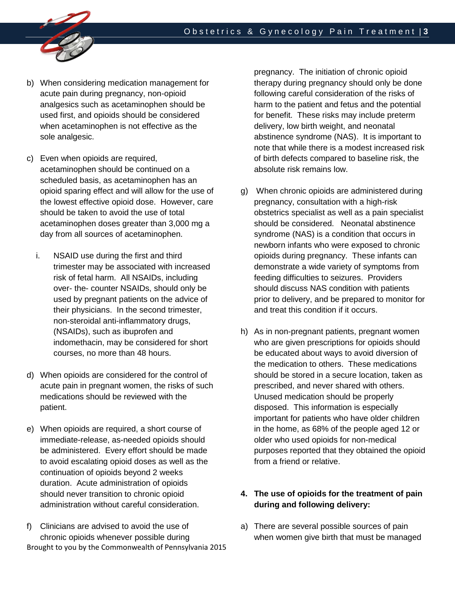

- b) When considering medication management for acute pain during pregnancy, non-opioid analgesics such as acetaminophen should be used first, and opioids should be considered when acetaminophen is not effective as the sole analgesic.
- c) Even when opioids are required, acetaminophen should be continued on a scheduled basis, as acetaminophen has an opioid sparing effect and will allow for the use of the lowest effective opioid dose. However, care should be taken to avoid the use of total acetaminophen doses greater than 3,000 mg a day from all sources of acetaminophen.
	- i. NSAID use during the first and third trimester may be associated with increased risk of fetal harm. All NSAIDs, including over- the- counter NSAIDs, should only be used by pregnant patients on the advice of their physicians. In the second trimester, non-steroidal anti-inflammatory drugs, (NSAIDs), such as ibuprofen and indomethacin, may be considered for short courses, no more than 48 hours.
- d) When opioids are considered for the control of acute pain in pregnant women, the risks of such medications should be reviewed with the patient.
- e) When opioids are required, a short course of immediate-release, as-needed opioids should be administered. Every effort should be made to avoid escalating opioid doses as well as the continuation of opioids beyond 2 weeks duration. Acute administration of opioids should never transition to chronic opioid administration without careful consideration.
- Brought to you by the Commonwealth of Pennsylvania 2015 f) Clinicians are advised to avoid the use of chronic opioids whenever possible during

pregnancy. The initiation of chronic opioid therapy during pregnancy should only be done following careful consideration of the risks of harm to the patient and fetus and the potential for benefit. These risks may include preterm delivery, low birth weight, and neonatal abstinence syndrome (NAS). It is important to note that while there is a modest increased risk of birth defects compared to baseline risk, the absolute risk remains low.

- g) When chronic opioids are administered during pregnancy, consultation with a high-risk obstetrics specialist as well as a pain specialist should be considered. Neonatal abstinence syndrome (NAS) is a condition that occurs in newborn infants who were exposed to chronic opioids during pregnancy. These infants can demonstrate a wide variety of symptoms from feeding difficulties to seizures. Providers should discuss NAS condition with patients prior to delivery, and be prepared to monitor for and treat this condition if it occurs.
- h) As in non-pregnant patients, pregnant women who are given prescriptions for opioids should be educated about ways to avoid diversion of the medication to others. These medications should be stored in a secure location, taken as prescribed, and never shared with others. Unused medication should be properly disposed. This information is especially important for patients who have older children in the home, as 68% of the people aged 12 or older who used opioids for non-medical purposes reported that they obtained the opioid from a friend or relative.

# **4. The use of opioids for the treatment of pain during and following delivery:**

a) There are several possible sources of pain when women give birth that must be managed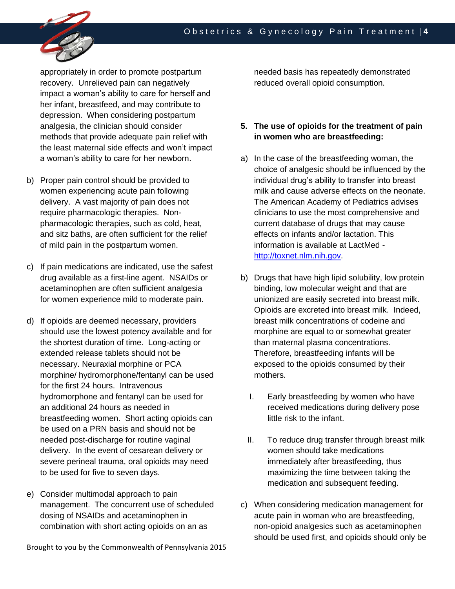

appropriately in order to promote postpartum recovery. Unrelieved pain can negatively impact a woman's ability to care for herself and her infant, breastfeed, and may contribute to depression. When considering postpartum analgesia, the clinician should consider methods that provide adequate pain relief with the least maternal side effects and won't impact a woman's ability to care for her newborn.

- b) Proper pain control should be provided to women experiencing acute pain following delivery. A vast majority of pain does not require pharmacologic therapies. Nonpharmacologic therapies, such as cold, heat, and sitz baths, are often sufficient for the relief of mild pain in the postpartum women.
- c) If pain medications are indicated, use the safest drug available as a first-line agent. NSAIDs or acetaminophen are often sufficient analgesia for women experience mild to moderate pain.
- d) If opioids are deemed necessary, providers should use the lowest potency available and for the shortest duration of time. Long-acting or extended release tablets should not be necessary. Neuraxial morphine or PCA morphine/ hydromorphone/fentanyl can be used for the first 24 hours. Intravenous hydromorphone and fentanyl can be used for an additional 24 hours as needed in breastfeeding women. Short acting opioids can be used on a PRN basis and should not be needed post-discharge for routine vaginal delivery. In the event of cesarean delivery or severe perineal trauma, oral opioids may need to be used for five to seven days.
- e) Consider multimodal approach to pain management. The concurrent use of scheduled dosing of NSAIDs and acetaminophen in combination with short acting opioids on an as

Brought to you by the Commonwealth of Pennsylvania 2015

needed basis has repeatedly demonstrated reduced overall opioid consumption.

## **5. The use of opioids for the treatment of pain in women who are breastfeeding:**

- a) In the case of the breastfeeding woman, the choice of analgesic should be influenced by the individual drug's ability to transfer into breast milk and cause adverse effects on the neonate. The American Academy of Pediatrics advises clinicians to use the most comprehensive and current database of drugs that may cause effects on infants and/or lactation. This information is available at LactMed [http://toxnet.nlm.nih.gov.](http://toxnet.nlm.nih.gov/)
- b) Drugs that have high lipid solubility, low protein binding, low molecular weight and that are unionized are easily secreted into breast milk. Opioids are excreted into breast milk. Indeed, breast milk concentrations of codeine and morphine are equal to or somewhat greater than maternal plasma concentrations. Therefore, breastfeeding infants will be exposed to the opioids consumed by their mothers.
	- I. Early breastfeeding by women who have received medications during delivery pose little risk to the infant.
	- II. To reduce drug transfer through breast milk women should take medications immediately after breastfeeding, thus maximizing the time between taking the medication and subsequent feeding.
- c) When considering medication management for acute pain in woman who are breastfeeding, non-opioid analgesics such as acetaminophen should be used first, and opioids should only be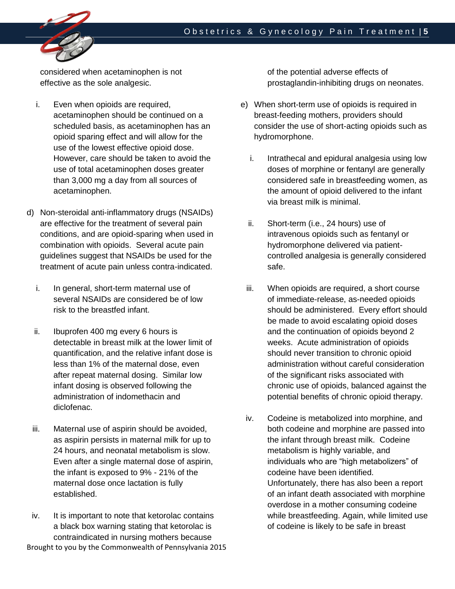

considered when acetaminophen is not effective as the sole analgesic.

- i. Even when opioids are required, acetaminophen should be continued on a scheduled basis, as acetaminophen has an opioid sparing effect and will allow for the use of the lowest effective opioid dose. However, care should be taken to avoid the use of total acetaminophen doses greater than 3,000 mg a day from all sources of acetaminophen.
- d) Non-steroidal anti-inflammatory drugs (NSAIDs) are effective for the treatment of several pain conditions, and are opioid-sparing when used in combination with opioids. Several acute pain guidelines suggest that NSAIDs be used for the treatment of acute pain unless contra-indicated.
	- i. In general, short-term maternal use of several NSAIDs are considered be of low risk to the breastfed infant.
	- ii. Ibuprofen 400 mg every 6 hours is detectable in breast milk at the lower limit of quantification, and the relative infant dose is less than 1% of the maternal dose, even after repeat maternal dosing. Similar low infant dosing is observed following the administration of indomethacin and diclofenac.
	- iii. Maternal use of aspirin should be avoided, as aspirin persists in maternal milk for up to 24 hours, and neonatal metabolism is slow. Even after a single maternal dose of aspirin, the infant is exposed to 9% - 21% of the maternal dose once lactation is fully established.
- Brought to you by the Commonwealth of Pennsylvania 2015 iv. It is important to note that ketorolac contains a black box warning stating that ketorolac is contraindicated in nursing mothers because

of the potential adverse effects of prostaglandin-inhibiting drugs on neonates.

- e) When short-term use of opioids is required in breast-feeding mothers, providers should consider the use of short-acting opioids such as hydromorphone.
	- i. Intrathecal and epidural analgesia using low doses of morphine or fentanyl are generally considered safe in breastfeeding women, as the amount of opioid delivered to the infant via breast milk is minimal.
	- ii. Short-term (i.e., 24 hours) use of intravenous opioids such as fentanyl or hydromorphone delivered via patientcontrolled analgesia is generally considered safe.
- iii. When opioids are required, a short course of immediate-release, as-needed opioids should be administered. Every effort should be made to avoid escalating opioid doses and the continuation of opioids beyond 2 weeks. Acute administration of opioids should never transition to chronic opioid administration without careful consideration of the significant risks associated with chronic use of opioids, balanced against the potential benefits of chronic opioid therapy.
- iv. Codeine is metabolized into morphine, and both codeine and morphine are passed into the infant through breast milk. Codeine metabolism is highly variable, and individuals who are "high metabolizers" of codeine have been identified. Unfortunately, there has also been a report of an infant death associated with morphine overdose in a mother consuming codeine while breastfeeding. Again, while limited use of codeine is likely to be safe in breast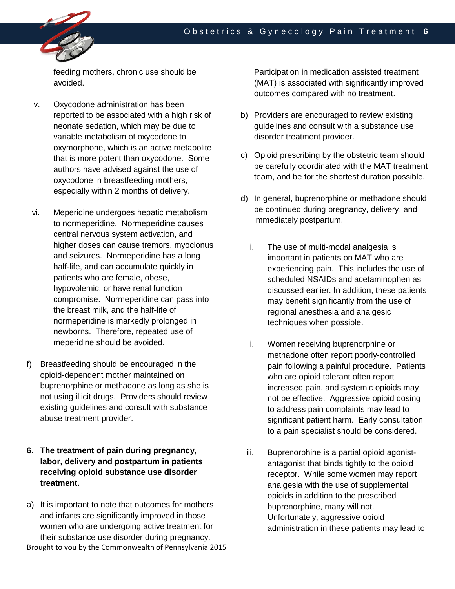

feeding mothers, chronic use should be avoided.

- v. Oxycodone administration has been reported to be associated with a high risk of neonate sedation, which may be due to variable metabolism of oxycodone to oxymorphone, which is an active metabolite that is more potent than oxycodone. Some authors have advised against the use of oxycodone in breastfeeding mothers, especially within 2 months of delivery.
- vi. Meperidine undergoes hepatic metabolism to normeperidine. Normeperidine causes central nervous system activation, and higher doses can cause tremors, myoclonus and seizures. Normeperidine has a long half-life, and can accumulate quickly in patients who are female, obese, hypovolemic, or have renal function compromise. Normeperidine can pass into the breast milk, and the half-life of normeperidine is markedly prolonged in newborns. Therefore, repeated use of meperidine should be avoided.
- f) Breastfeeding should be encouraged in the opioid-dependent mother maintained on buprenorphine or methadone as long as she is not using illicit drugs. Providers should review existing guidelines and consult with substance abuse treatment provider.
- **6. The treatment of pain during pregnancy, labor, delivery and postpartum in patients receiving opioid substance use disorder treatment.**
- Brought to you by the Commonwealth of Pennsylvania 2015 a) It is important to note that outcomes for mothers and infants are significantly improved in those women who are undergoing active treatment for their substance use disorder during pregnancy.

Participation in medication assisted treatment (MAT) is associated with significantly improved outcomes compared with no treatment.

- b) Providers are encouraged to review existing guidelines and consult with a substance use disorder treatment provider.
- c) Opioid prescribing by the obstetric team should be carefully coordinated with the MAT treatment team, and be for the shortest duration possible.
- d) In general, buprenorphine or methadone should be continued during pregnancy, delivery, and immediately postpartum.
	- i. The use of multi-modal analgesia is important in patients on MAT who are experiencing pain. This includes the use of scheduled NSAIDs and acetaminophen as discussed earlier. In addition, these patients may benefit significantly from the use of regional anesthesia and analgesic techniques when possible.
	- ii. Women receiving buprenorphine or methadone often report poorly-controlled pain following a painful procedure. Patients who are opioid tolerant often report increased pain, and systemic opioids may not be effective. Aggressive opioid dosing to address pain complaints may lead to significant patient harm. Early consultation to a pain specialist should be considered.
- iii. Buprenorphine is a partial opioid agonistantagonist that binds tightly to the opioid receptor. While some women may report analgesia with the use of supplemental opioids in addition to the prescribed buprenorphine, many will not. Unfortunately, aggressive opioid administration in these patients may lead to